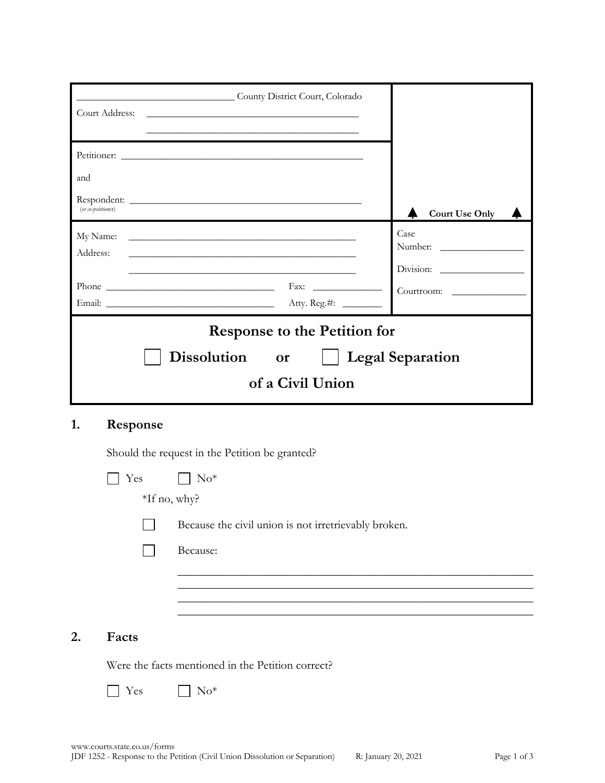| Court Address:                                                                                 | County District Court, Colorado<br><u> 1980 - John Stein, Amerikaansk politiker (</u> † 1920) |                       |  |  |
|------------------------------------------------------------------------------------------------|-----------------------------------------------------------------------------------------------|-----------------------|--|--|
| and                                                                                            |                                                                                               |                       |  |  |
| (or co-petitioner)                                                                             |                                                                                               | <b>Court Use Only</b> |  |  |
| Address:                                                                                       |                                                                                               | Case<br>Number:       |  |  |
|                                                                                                |                                                                                               | Courtroom:            |  |  |
| <b>Response to the Petition for</b><br>Dissolution or     Legal Separation<br>of a Civil Union |                                                                                               |                       |  |  |

## **1. Response**

**2. Facts**

Should the request in the Petition be granted?

| Yes                                               | $No*$                                                |  |  |
|---------------------------------------------------|------------------------------------------------------|--|--|
| $*$ If no, why?                                   |                                                      |  |  |
|                                                   | Because the civil union is not irretrievably broken. |  |  |
|                                                   | Because:                                             |  |  |
|                                                   |                                                      |  |  |
|                                                   |                                                      |  |  |
|                                                   |                                                      |  |  |
| Facts                                             |                                                      |  |  |
| Were the facts mentioned in the Petition correct? |                                                      |  |  |

 $\Box$  Yes  $\Box$  No\*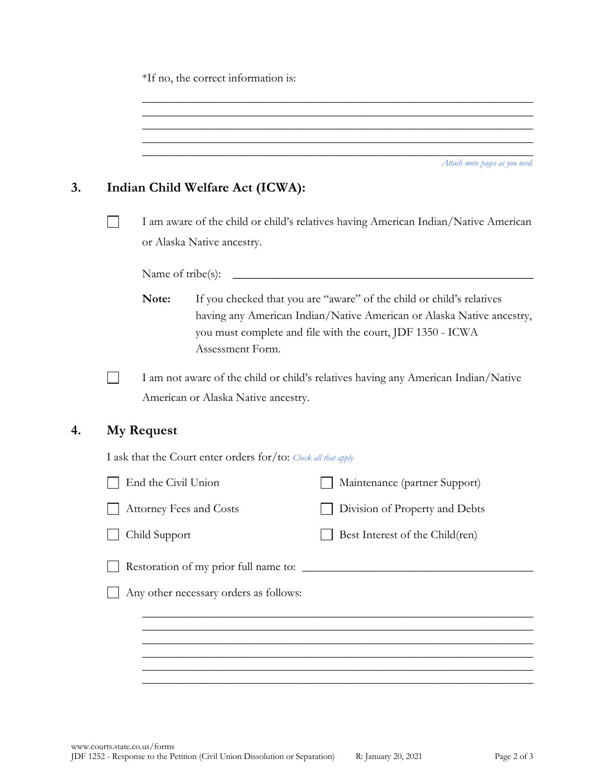|    |                                                                                    | *If no, the correct information is: |                                                                                     |  |                                                                                                                                                                                                              |  |  |
|----|------------------------------------------------------------------------------------|-------------------------------------|-------------------------------------------------------------------------------------|--|--------------------------------------------------------------------------------------------------------------------------------------------------------------------------------------------------------------|--|--|
|    |                                                                                    |                                     |                                                                                     |  |                                                                                                                                                                                                              |  |  |
|    |                                                                                    |                                     |                                                                                     |  |                                                                                                                                                                                                              |  |  |
|    |                                                                                    |                                     |                                                                                     |  | Attach more pages as you need.                                                                                                                                                                               |  |  |
| 3. |                                                                                    | Indian Child Welfare Act (ICWA):    |                                                                                     |  |                                                                                                                                                                                                              |  |  |
|    |                                                                                    |                                     | I am aware of the child or child's relatives having American Indian/Native American |  |                                                                                                                                                                                                              |  |  |
|    |                                                                                    |                                     | or Alaska Native ancestry.                                                          |  |                                                                                                                                                                                                              |  |  |
|    | Name of tribe(s):                                                                  |                                     |                                                                                     |  |                                                                                                                                                                                                              |  |  |
|    |                                                                                    | Note:                               | Assessment Form.                                                                    |  | If you checked that you are "aware" of the child or child's relatives<br>having any American Indian/Native American or Alaska Native ancestry,<br>you must complete and file with the court, JDF 1350 - ICWA |  |  |
|    | I am not aware of the child or child's relatives having any American Indian/Native |                                     |                                                                                     |  |                                                                                                                                                                                                              |  |  |
|    |                                                                                    | American or Alaska Native ancestry. |                                                                                     |  |                                                                                                                                                                                                              |  |  |
| 4. |                                                                                    | <b>My Request</b>                   |                                                                                     |  |                                                                                                                                                                                                              |  |  |
|    |                                                                                    |                                     | I ask that the Court enter orders for/to: Check all that apply                      |  |                                                                                                                                                                                                              |  |  |
|    | End the Civil Union                                                                |                                     |                                                                                     |  | Maintenance (partner Support)                                                                                                                                                                                |  |  |
|    |                                                                                    |                                     | <b>Attorney Fees and Costs</b>                                                      |  | Division of Property and Debts                                                                                                                                                                               |  |  |
|    |                                                                                    | Child Support                       |                                                                                     |  | Best Interest of the Child(ren)                                                                                                                                                                              |  |  |
|    |                                                                                    |                                     |                                                                                     |  |                                                                                                                                                                                                              |  |  |
|    |                                                                                    |                                     | Any other necessary orders as follows:                                              |  |                                                                                                                                                                                                              |  |  |
|    |                                                                                    |                                     |                                                                                     |  |                                                                                                                                                                                                              |  |  |
|    |                                                                                    |                                     |                                                                                     |  |                                                                                                                                                                                                              |  |  |
|    |                                                                                    |                                     |                                                                                     |  |                                                                                                                                                                                                              |  |  |
|    |                                                                                    |                                     |                                                                                     |  |                                                                                                                                                                                                              |  |  |